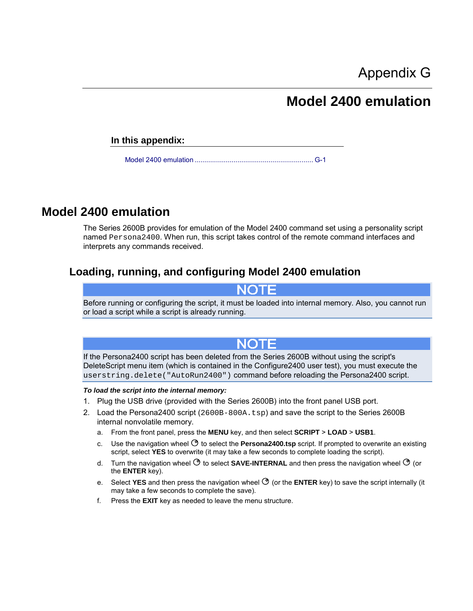# **Model 2400 emulation**

**In this appendix:**

[Model 2400 emulation](#page-0-0) ............................................................. [G-1](#page-0-0)

# <span id="page-0-0"></span>**Model 2400 emulation**

The Series 2600B provides for emulation of the Model 2400 command set using a personality script named Persona2400. When run, this script takes control of the remote command interfaces and interprets any commands received.

# **Loading, running, and configuring Model 2400 emulation**

**NOTE** 

Before running or configuring the script, it must be loaded into internal memory. Also, you cannot run or load a script while a script is already running.



If the Persona2400 script has been deleted from the Series 2600B without using the script's DeleteScript menu item (which is contained in the Configure2400 user test), you must execute the userstring.delete("AutoRun2400") command before reloading the Persona2400 script.

#### *To load the script into the internal memory:*

- 1. Plug the USB drive (provided with the Series 2600B) into the front panel USB port.
- 2. Load the Persona 2400 script (2600B-800A.tsp) and save the script to the Series 2600B internal nonvolatile memory.
	- a. From the front panel, press the **MENU** key, and then select **SCRIPT** > **LOAD** > **USB1**.
	- c. Use the navigation wheel  $\Im$  to select the **Persona2400.tsp** script. If prompted to overwrite an existing script, select **YES** to overwrite (it may take a few seconds to complete loading the script).
	- d. Turn the navigation wheel  $\heartsuit$  to select **SAVE-INTERNAL** and then press the navigation wheel  $\heartsuit$  (or the **ENTER** key).
	- e. Select **YES** and then press the navigation wheel  $\heartsuit$  (or the **ENTER** key) to save the script internally (it may take a few seconds to complete the save).
	- f. Press the **EXIT** key as needed to leave the menu structure.